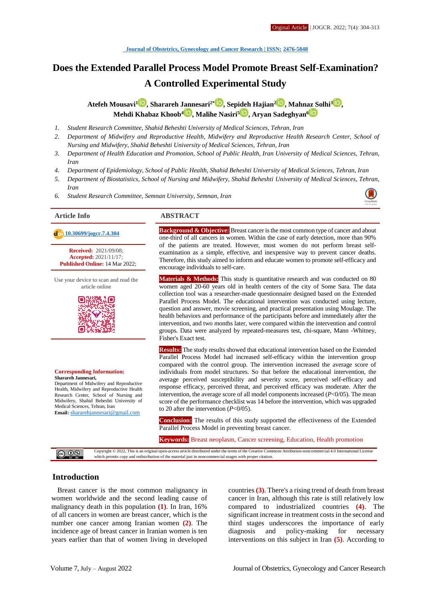# **Does the Extended Parallel Process Model Promote Breast Self-Examination? A Controlled Experimental Study**

**Atefeh Mousavi[1](http://orcid.org/0000000213650155) , Sharareh Jannesari2\* [,](http://orcid.org/000000029468775x) Sepideh Hajian[2](http://orcid.org/0000000233680036) , Mahnaz Solhi<sup>3</sup> [,](http://orcid.org/0000000178398010) Mehdi Khabaz Khoob[4](http://orcid.org/0000000308018793) , Malihe Nasiri<sup>5</sup> , Aryan Sadeghyan<sup>6</sup>**

- *1. Student Research Committee, Shahid Beheshti University of Medical Sciences, Tehran, Iran*
- *2. Department of Midwifery and Reproductive Health, Midwifery and Reproductive Health Research Center, School of Nursing and Midwifery, Shahid Beheshti University of Medical Sciences, Tehran, Iran*
- *3. Department of Health Education and Promotion, School of Public Health, Iran University of Medical Sciences, Tehran, Iran*
- *4. Department of Epidemiology, School of Public Health, Shahid Beheshti University of Medical Sciences, Tehran, Iran*
- *5. Department of Biostatistics, School of Nursing and Midwifery, Shahid Beheshti University of Medical Sciences, Tehran, Iran*
- *6. Student Research Committee, Semnan University, Semnan, Iran*



**Received:** 2021/09/08; **Accepted:** 2021/11/17; **Published Online:** 14 Mar 2022;

Use your device to scan and read the article online



#### **Corresponding Information: Sharareh Jannesari,**

Department of Midwifery and Reproductive Health, Midwifery and Reproductive Health Research Center, School of Nursing and Midwifery, Shahid Beheshti University of Medical Sciences, Tehran, Iran **Email:** [shararehjannesari@gmail.com](mailto:shararehjannesari@gmail.com)

#### **Article Info ABSTRACT**

**10.30699/joger.7.4.304 Background & Objective:** Breast cancer is the most common type of cancer and about **Background & Objective:** Breast cancer is the most common type of cancer and about one-third of all cancers in women. Within the case of early detection, more than 90% of the patients are treated. However, most women do not perform breast selfexamination as a simple, effective, and inexpensive way to prevent cancer deaths. Therefore, this study aimed to inform and educate women to promote self-efficacy and encourage individuals to self-care.

> **Materials & Methods:** This study is quantitative research and was conducted on 80 women aged 20-60 years old in health centers of the city of Some Sara. The data collection tool was a researcher-made questionnaire designed based on the Extended Parallel Process Model. The educational intervention was conducted using lecture, question and answer, movie screening, and practical presentation using Moulage. The health behaviors and performance of the participants before and immediately after the intervention, and two months later, were compared within the intervention and control groups. Data were analyzed by repeated-measures test, chi-square, Mann -Whitney, Fisher's Exact test.

> **Results:** The study results showed that educational intervention based on the Extended Parallel Process Model had increased self-efficacy within the intervention group compared with the control group. The intervention increased the average score of individuals from model structures. So that before the educational intervention, the average perceived susceptibility and severity score, perceived self-efficacy and response efficacy, perceived threat, and perceived efficacy was moderate. After the intervention, the average score of all model components increased (*P*<0/05). The mean score of the performance checklist was 14 before the intervention, which was upgraded to 20 after the intervention (*P*<0/05).

> **Conclusion:** The results of this study supported the effectiveness of the Extended Parallel Process Model in preventing breast cancer.

**Keywords:** Breast neoplasm, Cancer screening, Education, Health promotion

Copyright © 2022, This is an original open-access article distributed under the terms of the Creative Commons Attribution-noncommercial 4.0 International License  $\circ$  0  $\circ$ ich permits copy and redistribution of the material just in noncommercial usages with proper citation.

#### **Introduction**

Breast cancer is the most common malignancy in women worldwide and the second leading cause of malignancy death in this population **(1)**. In Iran, 16% of all cancers in women are breast cancer, which is the number one cancer among Iranian women **(2)**. The incidence age of breast cancer in Iranian women is ten years earlier than that of women living in developed countries **(3)**. There's a rising trend of death from breast cancer in Iran, although this rate is still relatively low compared to industrialized countries **(4)**. The significant increase in treatment costs in the second and third stages underscores the importance of early diagnosis and policy-making for necessary interventions on this subject in Iran **(5)**. According to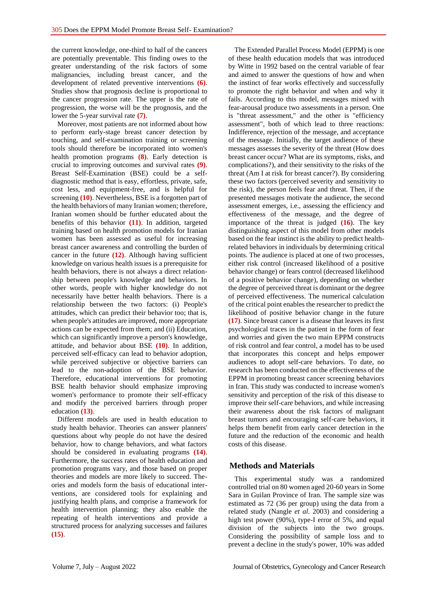the current knowledge, one-third to half of the cancers are potentially preventable. This finding owes to the greater understanding of the risk factors of some malignancies, including breast cancer, and the development of related preventive interventions **(6)**. Studies show that prognosis decline is proportional to the cancer progression rate. The upper is the rate of progression, the worse will be the prognosis, and the lower the 5-year survival rate **(7)**.

Moreover, most patients are not informed about how to perform early-stage breast cancer detection by touching, and self-examination training or screening tools should therefore be incorporated into women's health promotion programs **(8)**. Early detection is crucial to improving outcomes and survival rates **(9)**. Breast Self-Examination (BSE) could be a selfdiagnostic method that is easy, effortless, private, safe, cost less, and equipment-free, and is helpful for screening **(10)**. Nevertheless, BSE is a forgotten part of the health behaviors of many Iranian women; therefore, Iranian women should be further educated about the benefits of this behavior **(11)**. In addition, targeted training based on health promotion models for Iranian women has been assessed as useful for increasing breast cancer awareness and controlling the burden of cancer in the future **(12)**. Although having sufficient knowledge on various health issues is a prerequisite for health behaviors, there is not always a direct relationship between people's knowledge and behaviors. In other words, people with higher knowledge do not necessarily have better health behaviors. There is a relationship between the two factors: (i) People's attitudes, which can predict their behavior too; that is, when people's attitudes are improved, more appropriate actions can be expected from them; and (ii) Education, which can significantly improve a person's knowledge, attitude, and behavior about BSE **(10)**. In addition, perceived self-efficacy can lead to behavior adoption, while perceived subjective or objective barriers can lead to the non-adoption of the BSE behavior. Therefore, educational interventions for promoting BSE health behavior should emphasize improving women's performance to promote their self-efficacy and modify the perceived barriers through proper education **(13)**.

Different models are used in health education to study health behavior. Theories can answer planners' questions about why people do not have the desired behavior, how to change behaviors, and what factors should be considered in evaluating programs **(14)**. Furthermore, the success rates of health education and promotion programs vary, and those based on proper theories and models are more likely to succeed. Theories and models form the basis of educational interventions, are considered tools for explaining and justifying health plans, and comprise a framework for health intervention planning; they also enable the repeating of health interventions and provide a structured process for analyzing successes and failures **(15)**.

The Extended Parallel Process Model (EPPM) is one of these health education models that was introduced by Witte in 1992 based on the central variable of fear and aimed to answer the questions of how and when the instinct of fear works effectively and successfully to promote the right behavior and when and why it fails. According to this model, messages mixed with fear-arousal produce two assessments in a person. One is "threat assessment," and the other is "efficiency assessment", both of which lead to three reactions: Indifference, rejection of the message, and acceptance of the message. Initially, the target audience of these messages assesses the severity of the threat (How does breast cancer occur? What are its symptoms, risks, and complications?), and their sensitivity to the risks of the threat (Am I at risk for breast cancer?). By considering these two factors (perceived severity and sensitivity to the risk), the person feels fear and threat. Then, if the presented messages motivate the audience, the second assessment emerges, i.e., assessing the efficiency and effectiveness of the message, and the degree of importance of the threat is judged **(16)**. The key distinguishing aspect of this model from other models based on the fear instinct is the ability to predict healthrelated behaviors in individuals by determining critical points. The audience is placed at one of two processes, either risk control (increased likelihood of a positive behavior change) or fears control (decreased likelihood of a positive behavior change), depending on whether the degree of perceived threat is dominant or the degree of perceived effectiveness. The numerical calculation of the critical point enables the researcher to predict the likelihood of positive behavior change in the future **(17)**. Since breast cancer is a disease that leaves its first psychological traces in the patient in the form of fear and worries and given the two main EPPM constructs of risk control and fear control, a model has to be used that incorporates this concept and helps empower audiences to adopt self-care behaviors. To date, no research has been conducted on the effectiveness of the EPPM in promoting breast cancer screening behaviors in Iran. This study was conducted to increase women's sensitivity and perception of the risk of this disease to improve their self-care behaviors, and while increasing their awareness about the risk factors of malignant breast tumors and encouraging self-care behaviors, it helps them benefit from early cancer detection in the future and the reduction of the economic and health costs of this disease.

#### **Methods and Materials**

This experimental study was a randomized controlled trial on 80 women aged 20-60 years in Some Sara in Guilan Province of Iran. The sample size was estimated as 72 (36 per group) using the data from a related study (Nangle *et al.* 2003) and considering a high test power (90%), type-I error of 5%, and equal division of the subjects into the two groups. Considering the possibility of sample loss and to prevent a decline in the study's power, 10% was added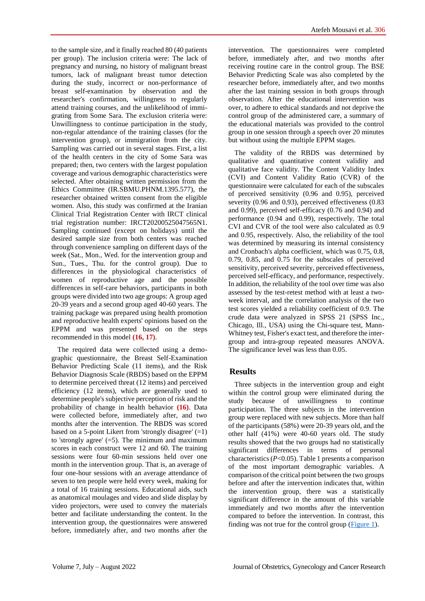to the sample size, and it finally reached 80 (40 patients per group). The inclusion criteria were: The lack of pregnancy and nursing, no history of malignant breast tumors, lack of malignant breast tumor detection during the study, incorrect or non-performance of breast self-examination by observation and the researcher's confirmation, willingness to regularly attend training courses, and the unlikelihood of immigrating from Some Sara. The exclusion criteria were: Unwillingness to continue participation in the study, non-regular attendance of the training classes (for the intervention group), or immigration from the city. Sampling was carried out in several stages. First, a list of the health centers in the city of Some Sara was prepared; then, two centers with the largest population coverage and various demographic characteristics were selected. After obtaining written permission from the Ethics Committee (IR.SBMU.PHNM.1395.577), the researcher obtained written consent from the eligible women. Also, this study was confirmed at the Iranian Clinical Trial Registration Center with IRCT clinical trial registration number: IRCT20200525047565N1. Sampling continued (except on holidays) until the desired sample size from both centers was reached through convenience sampling on different days of the week (Sat., Mon., Wed. for the intervention group and Sun., Tues., Thu. for the control group). Due to differences in the physiological characteristics of women of reproductive age and the possible differences in self-care behaviors, participants in both groups were divided into two age groups: A group aged 20-39 years and a second group aged 40-60 years. The training package was prepared using health promotion and reproductive health experts' opinions based on the EPPM and was presented based on the steps recommended in this model **(16, 17)**.

The required data were collected using a demographic questionnaire, the Breast Self-Examination Behavior Predicting Scale (11 items), and the Risk Behavior Diagnosis Scale (RBDS) based on the EPPM to determine perceived threat (12 items) and perceived efficiency (12 items), which are generally used to determine people's subjective perception of risk and the probability of change in health behavior **(16)**. Data were collected before, immediately after, and two months after the intervention. The RBDS was scored based on a 5-point Likert from 'strongly disagree' (=1) to 'strongly agree'  $(=5)$ . The minimum and maximum scores in each construct were 12 and 60. The training sessions were four 60-min sessions held over one month in the intervention group. That is, an average of four one-hour sessions with an average attendance of seven to ten people were held every week, making for a total of 16 training sessions. Educational aids, such as anatomical moulages and video and slide display by video projectors, were used to convey the materials better and facilitate understanding the content. In the intervention group, the questionnaires were answered before, immediately after, and two months after the

intervention. The questionnaires were completed before, immediately after, and two months after receiving routine care in the control group. The BSE Behavior Predicting Scale was also completed by the researcher before, immediately after, and two months after the last training session in both groups through observation. After the educational intervention was over, to adhere to ethical standards and not deprive the control group of the administered care, a summary of the educational materials was provided to the control group in one session through a speech over 20 minutes but without using the multiple EPPM stages.

The validity of the RBDS was determined by qualitative and quantitative content validity and qualitative face validity. The Content Validity Index (CVI) and Content Validity Ratio (CVR) of the questionnaire were calculated for each of the subscales of perceived sensitivity (0.96 and 0.95), perceived severity (0.96 and 0.93), perceived effectiveness (0.83) and 0.99), perceived self-efficacy (0.76 and 0.94) and performance (0.94 and 0.99), respectively. The total CVI and CVR of the tool were also calculated as 0.9 and 0.95, respectively. Also, the reliability of the tool was determined by measuring its internal consistency and Cronbach's alpha coefficient, which was 0.75, 0.8, 0.79, 0.85, and 0.75 for the subscales of perceived sensitivity, perceived severity, perceived effectiveness, perceived self-efficacy, and performance, respectively. In addition, the reliability of the tool over time was also assessed by the test-retest method with at least a twoweek interval, and the correlation analysis of the two test scores yielded a reliability coefficient of 0.9. The crude data were analyzed in SPSS 21 (SPSS Inc., Chicago, Ill., USA) using the Chi-square test, Mann-Whitney test, Fisher's exact test, and therefore the intergroup and intra-group repeated measures ANOVA. The significance level was less than 0.05.

# **Results**

Three subjects in the intervention group and eight within the control group were eliminated during the study because of unwillingness to continue participation. The three subjects in the intervention group were replaced with new subjects. More than half of the participants (58%) were 20-39 years old, and the other half (41%) were 40-60 years old. The study results showed that the two groups had no statistically significant differences in terms of personal characteristics (*P*<0.05). Table 1 presents a comparison of the most important demographic variables. A comparison of the critical point between the two groups before and after the intervention indicates that, within the intervention group, there was a statistically significant difference in the amount of this variable immediately and two months after the intervention compared to before the intervention. In contrast, this finding was not true for the control group  $(Figure 1)$ .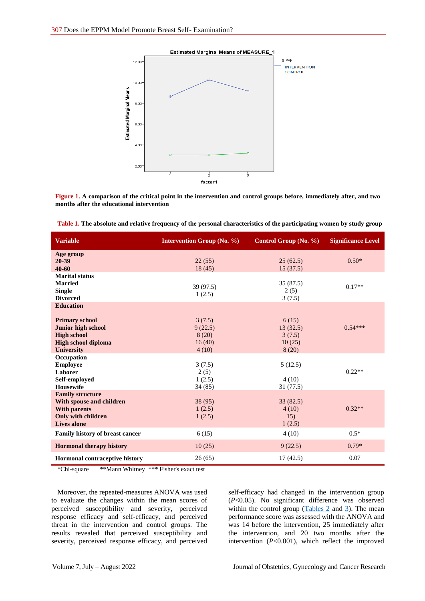#### Estimated Marginal Means of MEASURE\_1

<span id="page-3-0"></span>

**Figure 1. A comparison of the critical point in the intervention and control groups before, immediately after, and two months after the educational intervention**

| <b>Variable</b>                                                                                                                          | <b>Intervention Group (No. %)</b>             | Control Group (No. %)                          | <b>Significance Level</b> |
|------------------------------------------------------------------------------------------------------------------------------------------|-----------------------------------------------|------------------------------------------------|---------------------------|
| Age group<br>20-39<br>40-60                                                                                                              | 22(55)<br>18(45)                              | 25(62.5)<br>15(37.5)                           | $0.50*$                   |
| <b>Marital status</b><br><b>Married</b><br><b>Single</b><br><b>Divorced</b>                                                              | 39 (97.5)<br>1(2.5)                           | 35 (87.5)<br>2(5)<br>3(7.5)                    | $0.17**$                  |
| <b>Education</b><br><b>Primary school</b><br>Junior high school<br><b>High school</b><br><b>High school diploma</b><br><b>University</b> | 3(7.5)<br>9(22.5)<br>8(20)<br>16(40)<br>4(10) | 6(15)<br>13(32.5)<br>3(7.5)<br>10(25)<br>8(20) | $0.54***$                 |
| Occupation<br><b>Employee</b><br>Laborer<br>Self-employed<br><b>Housewife</b>                                                            | 3(7.5)<br>2(5)<br>1(2.5)<br>34 (85)           | 5(12.5)<br>4(10)<br>31(77.5)                   | $0.22**$                  |
| <b>Family structure</b><br>With spouse and children<br><b>With parents</b><br>Only with children<br><b>Lives alone</b>                   | 38 (95)<br>1(2.5)<br>1(2.5)                   | 33(82.5)<br>4(10)<br>15)<br>1(2.5)             | $0.32**$                  |
| Family history of breast cancer                                                                                                          | 6(15)                                         | 4(10)                                          | $0.5*$                    |
| <b>Hormonal therapy history</b>                                                                                                          | 10(25)                                        | 9(22.5)                                        | $0.79*$                   |
| Hormonal contraceptive history<br>$\overline{M}$<br>standards of the<br>$\mathbf{v} \mathbf{v}$                                          | 26(65)<br>states and the first control of     | 17(42.5)                                       | 0.07                      |

\*Chi-square \*\*Mann Whitney \*\*\* Fisher's exact test

Moreover, the repeated-measures ANOVA was used to evaluate the changes within the mean scores of perceived susceptibility and severity, perceived response efficacy and self-efficacy, and perceived threat in the intervention and control groups. The results revealed that perceived susceptibility and severity, perceived response efficacy, and perceived self-efficacy had changed in the intervention group (*P*<0.05). No significant difference was observed within the control group  $(Tables 2 and 3)$  $(Tables 2 and 3)$  $(Tables 2 and 3)$ . The mean performance score was assessed with the ANOVA and was 14 before the intervention, 25 immediately after the intervention, and 20 two months after the intervention (*P*<0.001), which reflect the improved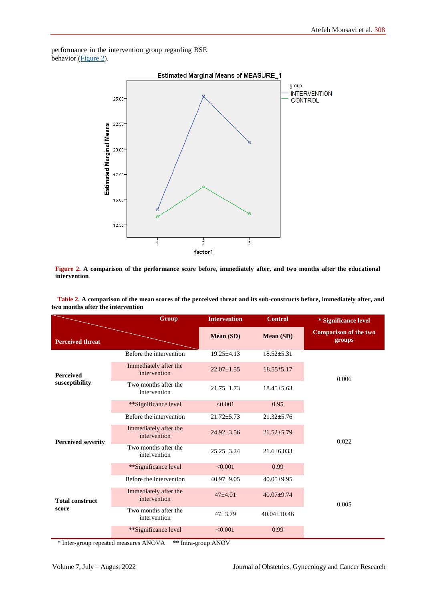<span id="page-4-0"></span>performance in the intervention group regarding BSE behavior [\(Figure 2\)](#page-4-1).



<span id="page-4-1"></span>**Figure 2. A comparison of the performance score before, immediately after, and two months after the educational intervention**

**Table 2. A comparison of the mean scores of the perceived threat and its sub-constructs before, immediately after, and two months after the intervention**

|                                    | <b>Group</b>                          | <b>Intervention</b> | <b>Control</b>    | * Significance level                   |  |
|------------------------------------|---------------------------------------|---------------------|-------------------|----------------------------------------|--|
| <b>Perceived threat</b>            |                                       | Mean (SD)           | Mean (SD)         | <b>Comparison of the two</b><br>groups |  |
| <b>Perceived</b><br>susceptibility | Before the intervention               | $19.25 \pm 4.13$    | $18.52 \pm 5.31$  | 0.006                                  |  |
|                                    | Immediately after the<br>intervention | $22.07 \pm 1.55$    | 18.55*5.17        |                                        |  |
|                                    | Two months after the<br>intervention  | $21.75 \pm 1.73$    | $18.45 \pm 5.63$  |                                        |  |
|                                    | **Significance level                  | < 0.001             | 0.95              |                                        |  |
| <b>Perceived severity</b>          | Before the intervention               | $21.72 \pm 5.73$    | $21.32 \pm 5.76$  | 0.022                                  |  |
|                                    | Immediately after the<br>intervention | $24.92 \pm 3.56$    | $21.52 \pm 5.79$  |                                        |  |
|                                    | Two months after the<br>intervention  | $25.25 \pm 3.24$    | $21.6 \pm 6.033$  |                                        |  |
|                                    | **Significance level                  | < 0.001             | 0.99              |                                        |  |
| <b>Total construct</b><br>score    | Before the intervention               | $40.97+9.05$        | $40.05 \pm 9.95$  | 0.005                                  |  |
|                                    | Immediately after the<br>intervention | $47 + 4.01$         | $40.07+9.74$      |                                        |  |
|                                    | Two months after the<br>intervention  | $47 + 3.79$         | $40.04 \pm 10.46$ |                                        |  |
|                                    | **Significance level                  | < 0.001             | 0.99              |                                        |  |

\* Inter-group repeated measures ANOVA \*\* Intra-group ANOV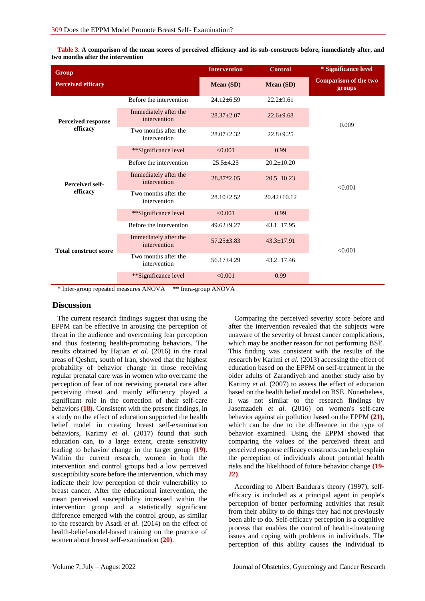| Group                              |                                       | <b>Intervention</b> | <b>Control</b>    | * Significance level                   |
|------------------------------------|---------------------------------------|---------------------|-------------------|----------------------------------------|
| <b>Perceived efficacy</b>          |                                       | <b>Mean</b> (SD)    | <b>Mean (SD)</b>  | <b>Comparison of the two</b><br>groups |
| Perceived response<br>efficacy     | Before the intervention               | $24.12 \pm 6.59$    | $22.2 \pm 9.61$   | 0.009                                  |
|                                    | Immediately after the<br>intervention | $28.37 \pm 2.07$    | $22.6 + 9.68$     |                                        |
|                                    | Two months after the<br>intervention  | $28.07 \pm 2.32$    | $22.8 + 9.25$     |                                        |
|                                    | **Significance level                  | < 0.001             | 0.99              |                                        |
| <b>Perceived self-</b><br>efficacy | Before the intervention               | $25.5 \pm 4.25$     | $20.2 \pm 10.20$  | < 0.001                                |
|                                    | Immediately after the<br>intervention | 28.87*2.05          | $20.5 \pm 10.23$  |                                        |
|                                    | Two months after the<br>intervention  | $28.10 \pm 2.52$    | $20.42 \pm 10.12$ |                                        |
|                                    | **Significance level                  | < 0.001             | 0.99              |                                        |
| <b>Total construct score</b>       | Before the intervention               | $49.62 \pm 9.27$    | $43.1 \pm 17.95$  | < 0.001                                |
|                                    | Immediately after the<br>intervention | $57.25 \pm 3.83$    | $43.3 \pm 17.91$  |                                        |
|                                    | Two months after the<br>intervention  | $56.17 \pm 4.29$    | $43.2 \pm 17.46$  |                                        |
|                                    | **Significance level                  | < 0.001             | 0.99              |                                        |

<span id="page-5-0"></span>**Table 3. A comparison of the mean scores of perceived efficiency and its sub-constructs before, immediately after, and two months after the intervention**

\* Inter-group repeated measures ANOVA \*\* Intra-group ANOVA

#### **Discussion**

The current research findings suggest that using the EPPM can be effective in arousing the perception of threat in the audience and overcoming fear perception and thus fostering health-promoting behaviors. The results obtained by Hajian et al. (2016) in the rural areas of Qeshm, south of Iran, showed that the highest probability of behavior change in those receiving regular prenatal care was in women who overcame the perception of fear of not receiving prenatal care after perceiving threat and mainly efficiency played a significant role in the correction of their self-care behaviors **(18)**. Consistent with the present findings, in a study on the effect of education supported the health belief model in creating breast self-examination behaviors, Karimy *et al.* (2017) found that such education can, to a large extent, create sensitivity leading to behavior change in the target group **(19)**. Within the current research, women in both the intervention and control groups had a low perceived susceptibility score before the intervention, which may indicate their low perception of their vulnerability to breast cancer. After the educational intervention, the mean perceived susceptibility increased within the intervention group and a statistically significant difference emerged with the control group, as similar to the research by Asadi *et al.* (2014) on the effect of health-belief-model-based training on the practice of women about breast self-examination **(20)**.

Comparing the perceived severity score before and after the intervention revealed that the subjects were unaware of the severity of breast cancer complications, which may be another reason for not performing BSE. This finding was consistent with the results of the research by Karimi *et al.* (2013) accessing the effect of education based on the EPPM on self-treatment in the older adults of Zarandiyeh and another study also by Karimy *et al.* (2007) to assess the effect of education based on the health belief model on BSE. Nonetheless, it was not similar to the research findings by Jasemzadeh *et al.* (2016) on women's self-care behavior against air pollution based on the EPPM **(21)**, which can be due to the difference in the type of behavior examined. Using the EPPM showed that comparing the values of the perceived threat and perceived response efficacy constructs can help explain the perception of individuals about potential health risks and the likelihood of future behavior change **(19- 22)**.

According to Albert Bandura's theory (1997), selfefficacy is included as a principal agent in people's perception of better performing activities that result from their ability to do things they had not previously been able to do. Self-efficacy perception is a cognitive process that enables the control of health-threatening issues and coping with problems in individuals. The perception of this ability causes the individual to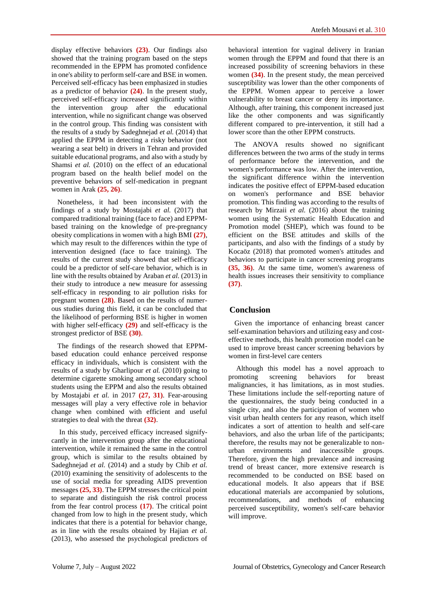display effective behaviors **(23)**. Our findings also showed that the training program based on the steps recommended in the EPPM has promoted confidence in one's ability to perform self-care and BSE in women. Perceived self-efficacy has been emphasized in studies as a predictor of behavior **(24)**. In the present study, perceived self-efficacy increased significantly within the intervention group after the educational intervention, while no significant change was observed in the control group. This finding was consistent with the results of a study by Sadeghnejad *et al.* (2014) that applied the EPPM in detecting a risky behavior (not wearing a seat belt) in drivers in Tehran and provided suitable educational programs, and also with a study by Shamsi *et al.* (2010) on the effect of an educational program based on the health belief model on the preventive behaviors of self-medication in pregnant women in Arak **(25, 26)**.

Nonetheless, it had been inconsistent with the findings of a study by Mostajabi *et al.* (2017) that compared traditional training (face to face) and EPPMbased training on the knowledge of pre-pregnancy obesity complications in women with a high BMI **(27)**, which may result to the differences within the type of intervention designed (face to face training). The results of the current study showed that self-efficacy could be a predictor of self-care behavior, which is in line with the results obtained by Araban *et al.* (2013) in their study to introduce a new measure for assessing self-efficacy in responding to air pollution risks for pregnant women **(28)**. Based on the results of numerous studies during this field, it can be concluded that the likelihood of performing BSE is higher in women with higher self-efficacy **(29)** and self-efficacy is the strongest predictor of BSE **(30)**.

The findings of the research showed that EPPMbased education could enhance perceived response efficacy in individuals, which is consistent with the results of a study by Gharlipour *et al.* (2010) going to determine cigarette smoking among secondary school students using the EPPM and also the results obtained by Mostajabi *et al.* in 2017 **(27, 31)**. Fear-arousing messages will play a very effective role in behavior change when combined with efficient and useful strategies to deal with the threat **(32)**.

In this study, perceived efficacy increased signifycantly in the intervention group after the educational intervention, while it remained the same in the control group, which is similar to the results obtained by Sadeghnejad *et al.* (2014) and a study by Chib *et al.* (2010) examining the sensitivity of adolescents to the use of social media for spreading AIDS prevention messages **(25, 33)**. The EPPM stresses the critical point to separate and distinguish the risk control process from the fear control process **(17)**. The critical point changed from low to high in the present study, which indicates that there is a potential for behavior change, as in line with the results obtained by Hajian *et al.* (2013), who assessed the psychological predictors of

behavioral intention for vaginal delivery in Iranian women through the EPPM and found that there is an increased possibility of screening behaviors in these women **(34)**. In the present study, the mean perceived susceptibility was lower than the other components of the EPPM. Women appear to perceive a lower vulnerability to breast cancer or deny its importance. Although, after training, this component increased just like the other components and was significantly different compared to pre-intervention, it still had a lower score than the other EPPM constructs.

The ANOVA results showed no significant differences between the two arms of the study in terms of performance before the intervention, and the women's performance was low. After the intervention, the significant difference within the intervention indicates the positive effect of EPPM-based education on women's performance and BSE behavior promotion. This finding was according to the results of research by Mirzaii *et al.* (2016) about the training women using the Systematic Health Education and Promotion model (SHEP), which was found to be efficient on the BSE attitudes and skills of the participants, and also with the findings of a study by Kocaöz (2018) that promoted women's attitudes and behaviors to participate in cancer screening programs **(35, 36)**. At the same time, women's awareness of health issues increases their sensitivity to compliance **(37)**.

# **Conclusion**

Given the importance of enhancing breast cancer self-examination behaviors and utilizing easy and costeffective methods, this health promotion model can be used to improve breast cancer screening behaviors by women in first-level care centers

Although this model has a novel approach to promoting screening behaviors for breast malignancies, it has limitations, as in most studies. These limitations include the self-reporting nature of the questionnaires, the study being conducted in a single city, and also the participation of women who visit urban health centers for any reason, which itself indicates a sort of attention to health and self-care behaviors, and also the urban life of the participants; therefore, the results may not be generalizable to nonurban environments and inaccessible groups. Therefore, given the high prevalence and increasing trend of breast cancer, more extensive research is recommended to be conducted on BSE based on educational models. It also appears that if BSE educational materials are accompanied by solutions, recommendations, and methods of enhancing perceived susceptibility, women's self-care behavior will improve.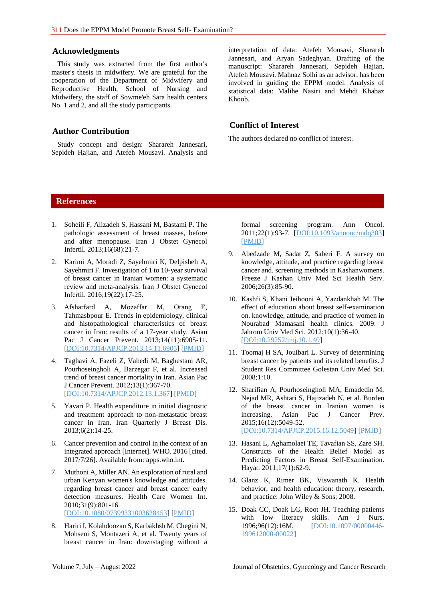#### **Acknowledgments**

This study was extracted from the first author's master's thesis in midwifery. We are grateful for the cooperation of the Department of Midwifery and Reproductive Health, School of Nursing and Midwifery, the staff of Sowme'eh Sara health centers No. 1 and 2, and all the study participants.

#### **Author Contribution**

Study concept and design: Sharareh Jannesari, Sepideh Hajian, and Atefeh Mousavi. Analysis and interpretation of data: Atefeh Mousavi, Sharareh Jannesari, and Aryan Sadeghyan. Drafting of the manuscript: Sharareh Jannesari, Sepideh Hajian, Atefeh Mousavi. Mahnaz Solhi as an advisor, has been involved in guiding the EPPM model. Analysis of statistical data: Malihe Nasiri and Mehdi Khabaz Khoob.

# **Conflict of Interest**

The authors declared no conflict of interest.

# **References**

- 1. Soheili F, Alizadeh S, Hassani M, Bastami P. The pathologic assessment of breast masses, before and after menopause. Iran J Obstet Gynecol Infertil. 2013;16(68):21-7.
- 2. Karimi A, Moradi Z, Sayehmiri K, Delpisheh A, Sayehmiri F. Investigation of 1 to 10-year survival of breast cancer in Iranian women: a systematic review and meta-analysis. Iran J Obstet Gynecol Infertil. 2016;19(22):17-25.
- 3. Afsharfard A, Mozaffar M, Orang E, Tahmasbpour E. Trends in epidemiology, clinical and histopathological characteristics of breast cancer in Iran: results of a 17-year study. Asian Pac J Cancer Prevent. 2013;14(11):6905-11. [\[DOI:10.7314/APJCP.2013.14.11.6905\]](https://doi.org/10.7314/APJCP.2013.14.11.6905) [\[PMID\]](https://www.ncbi.nlm.nih.gov/pubmed/24377624)
- 4. Taghavi A, Fazeli Z, Vahedi M, Baghestani AR, Pourhoseingholi A, Barzegar F, et al. Increased trend of breast cancer mortality in Iran. Asian Pac J Cancer Prevent. 2012;13(1):367-70. [\[DOI:10.7314/APJCP.2012.13.1.367\]](https://doi.org/10.7314/APJCP.2012.13.1.367) [\[PMID\]](https://www.ncbi.nlm.nih.gov/pubmed/22502702)
- 5. Yavari P. Health expenditure in initial diagnostic and treatment approach to non-metastatic breast cancer in Iran. Iran Quarterly J Breast Dis. 2013;6(2):14-25.
- 6. Cancer prevention and control in the context of an integrated approach [Internet]. WHO. 2016 [cited. 2017/7/26]. Available from: apps.who.int.
- 7. Muthoni A, Miller AN. An exploration of rural and urban Kenyan women's knowledge and attitudes. regarding breast cancer and breast cancer early detection measures. Health Care Women Int. 2010;31(9):801-16. [\[DOI:10.1080/07399331003628453\]](https://doi.org/10.1080/07399331003628453) [\[PMID\]](https://www.ncbi.nlm.nih.gov/pubmed/20677038)
- 8. Hariri I, Kolahdoozan S, Karbakhsh M, Chegini N, Mohseni S, Montazeri A, et al. Twenty years of breast cancer in Iran: downstaging without a

formal screening program. Ann Oncol. 2011;22(1):93-7. [\[DOI:10.1093/annonc/mdq303\]](https://doi.org/10.1093/annonc/mdq303) [\[PMID\]](https://www.ncbi.nlm.nih.gov/pubmed/20534622)

- 9. Abedzade M, Sadat Z, Saberi F. A survey on knowledge, attitude, and practice regarding breast cancer and. screening methods in Kashanwomens. Freeze J Kashan Univ Med Sci Health Serv. 2006;26(3):85-90.
- 10. Kashfi S, Khani Jeihooni A, Yazdankhah M. The effect of education about breast self-examination on. knowledge, attitude, and practice of women in Nourabad Mamasani health clinics. 2009. J Jahrom Univ Med Sci. 2012;10(1):36-40. [\[DOI:10.29252/jmj.10.1.40\]](https://doi.org/10.29252/jmj.10.1.40)
- 11. Toomaj H SA, Jouibari L. Survey of determining breast cancer by patients and its related benefits. J Student Res Committee Golestan Univ Med Sci. 2008;1:10.
- 12. Sharifian A, Pourhoseingholi MA, Emadedin M, Nejad MR, Ashtari S, Hajizadeh N, et al. Burden of the breast. cancer in Iranian women is increasing. Asian Pac J Cancer Prev. 2015;16(12):5049-52. [\[DOI:10.7314/APJCP.2015.16.12.5049\]](https://doi.org/10.7314/APJCP.2015.16.12.5049) [\[PMID\]](https://www.ncbi.nlm.nih.gov/pubmed/26163639)
- 13. Hasani L, Aghamolaei TE, Tavafian SS, Zare SH. Constructs of the Health Belief Model as Predicting Factors in Breast Self-Examination. Hayat. 2011;17(1):62-9.
- 14. Glanz K, Rimer BK, Viswanath K. Health behavior, and health education: theory, research, and practice: John Wiley & Sons; 2008.
- 15. Doak CC, Doak LG, Root JH. Teaching patients with low literacy skills. Am J Nurs. 1996;96(12):16M. [\[DOI:10.1097/00000446-](https://doi.org/10.1097/00000446-199612000-00022) [199612000-00022\]](https://doi.org/10.1097/00000446-199612000-00022)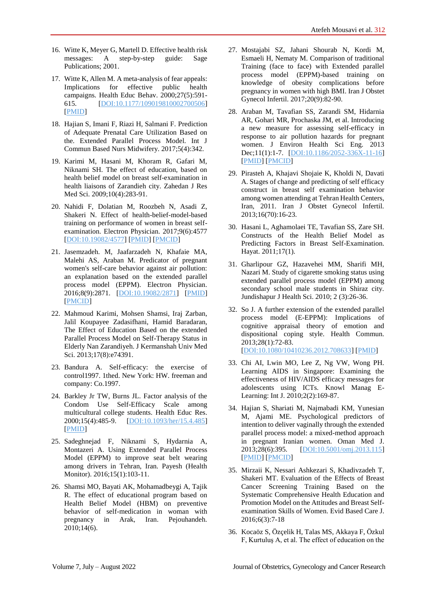- 16. Witte K, Meyer G, Martell D. Effective health risk<br>messages: A step-by-step guide: Sage messages: A step-by-step guide: Sage Publications; 2001.
- 17. Witte K, Allen M. A meta-analysis of fear appeals: Implications for effective public health campaigns. Health Educ Behav. 2000;27(5):591- 615. [\[DOI:10.1177/109019810002700506\]](https://doi.org/10.1177/109019810002700506) [\[PMID\]](https://www.ncbi.nlm.nih.gov/pubmed/11009129)
- 18. Hajian S, Imani F, Riazi H, Salmani F. Prediction of Adequate Prenatal Care Utilization Based on the. Extended Parallel Process Model. Int J Commun Based Nurs Midwifery. 2017;5(4):342.
- 19. Karimi M, Hasani M, Khoram R, Gafari M, Niknami SH. The effect of education, based on health belief model on breast self-examination in health liaisons of Zarandieh city. Zahedan J Res Med Sci. 2009;10(4):283-91.
- 20. Nahidi F, Dolatian M, Roozbeh N, Asadi Z, Shakeri N. Effect of health-belief-model-based training on performance of women in breast selfexamination. Electron Physician. 2017;9(6):4577 [\[DOI:10.19082/4577\]](https://doi.org/10.19082/4577) [\[PMID\]](https://www.ncbi.nlm.nih.gov/pubmed/28848633) [\[PMCID\]](http://www.ncbi.nlm.nih.gov/pmc/articles/PMC5557138)
- 21. Jasemzadeh. M, Jaafarzadeh N, Khafaie MA, Malehi AS, Araban M. Predicator of pregnant women's self-care behavior against air pollution: an explanation based on the extended parallel process model (EPPM). Electron Physician. 2016;8(9):2871. [\[DOI:10.19082/2871\]](https://doi.org/10.19082/2871) [\[PMID\]](https://www.ncbi.nlm.nih.gov/pubmed/27790338) [\[PMCID\]](http://www.ncbi.nlm.nih.gov/pmc/articles/PMC5074744)
- 22. Mahmoud Karimi, Mohsen Shamsi, Iraj Zarban, Jalil Koupayee Zadasifhani, Hamid Baradaran, The Effect of Education Based on the extended Parallel Process Model on Self-Therapy Status in Elderly Nan Zarandiyeh. J Kermanshah Univ Med Sci. 2013;17(8):e74391.
- 23. Bandura A. Self-efficacy: the exercise of control1997. 1thed. New York: HW. freeman and company: Co.1997.
- 24. Barkley Jr TW, Burns JL. Factor analysis of the Condom Use Self-Efficacy Scale among multicultural college students. Health Educ Res. 2000;15(4):485-9. [\[DOI:10.1093/her/15.4.485\]](https://doi.org/10.1093/her/15.4.485) [\[PMID\]](https://www.ncbi.nlm.nih.gov/pubmed/11066465)
- 25. Sadeghnejad F, Niknami S, Hydarnia A, Montazeri A. Using Extended Parallel Process Model (EPPM) to improve seat belt wearing among drivers in Tehran, Iran. Payesh (Health Monitor). 2016;15(1):103-11.
- 26. Shamsi MO, Bayati AK, Mohamadbeygi A, Tajik R. The effect of educational program based on Health Belief Model (HBM) on preventive behavior of self-medication in woman with pregnancy in Arak, Iran. Pejouhandeh. 2010;14(6).
- 27. Mostajabi SZ, Jahani Shourab N, Kordi M, Esmaeli H, Nematy M. Comparison of traditional Training (face to face) with Extended parallel process model (EPPM)-based training on knowledge of obesity complications before pregnancy in women with high BMI. Iran J Obstet Gynecol Infertil. 2017;20(9):82-90.
- 28. Araban M, Tavafian SS, Zarandi SM, Hidarnia AR, Gohari MR, Prochaska JM, et al. Introducing a new measure for assessing self-efficacy in response to air pollution hazards for pregnant women. J Environ Health Sci Eng. 2013 Dec;11(1):1-7. [\[DOI:10.1186/2052-336X-11-16\]](https://doi.org/10.1186/2052-336X-11-16) [\[PMID\]](https://www.ncbi.nlm.nih.gov/pubmed/24491221) [\[PMCID\]](http://www.ncbi.nlm.nih.gov/pmc/articles/PMC3776291)
- 29. Pirasteh A, Khajavi Shojaie K, Kholdi N, Davati A. Stages of change and predicting of self efficacy construct in breast self examination behavior among women attending at Tehran Health Centers, Iran, 2011. Iran J Obstet Gynecol Infertil. 2013;16(70):16-23.
- 30. Hasani L, Aghamolaei TE, Tavafian SS, Zare SH. Constructs of the Health Belief Model as Predicting Factors in Breast Self-Examination. Hayat. 2011;17(1).
- 31. Gharlipour GZ, Hazavehei MM, Sharifi MH, Nazari M. Study of cigarette smoking status using extended parallel process model (EPPM) among secondary school male students in Shiraz city. Jundishapur J Health Sci. 2010; 2 (3):26-36.
- 32. So J. A further extension of the extended parallel process model (E-EPPM): Implications of cognitive appraisal theory of emotion and dispositional coping style. Health Commun. 2013;28(1):72-83. [\[DOI:10.1080/10410236.2012.708633\]](https://doi.org/10.1080/10410236.2012.708633) [\[PMID\]](https://www.ncbi.nlm.nih.gov/pubmed/23330860)
- 33. Chi AI, Lwin MO, Lee Z, Ng VW, Wong PH. Learning AIDS in Singapore: Examining the effectiveness of HIV/AIDS efficacy messages for adolescents using ICTs. Knowl Manag E-Learning: Int J. 2010;2(2):169-87.
- 34. Hajian S, Shariati M, Najmabadi KM, Yunesian M, Ajami ME. Psychological predictors of intention to deliver vaginally through the extended parallel process model: a mixed-method approach in pregnant Iranian women. Oman Med J. 2013;28(6):395. [\[DOI:10.5001/omj.2013.115\]](https://doi.org/10.5001/omj.2013.115) [\[PMID\]](https://www.ncbi.nlm.nih.gov/pubmed/24223242) [\[PMCID\]](http://www.ncbi.nlm.nih.gov/pmc/articles/PMC3815863)
- 35. Mirzaii K, Nessari Ashkezari S, Khadivzadeh T, Shakeri MT. Evaluation of the Effects of Breast Cancer Screening Training Based on the Systematic Comprehensive Health Education and Promotion Model on the Attitudes and Breast Selfexamination Skills of Women. Evid Based Care J. 2016;6(3):7-18
- 36. Kocaöz S, Özçelik H, Talas MS, Akkaya F, Özkul F, Kurtuluş A, et al. The effect of education on the